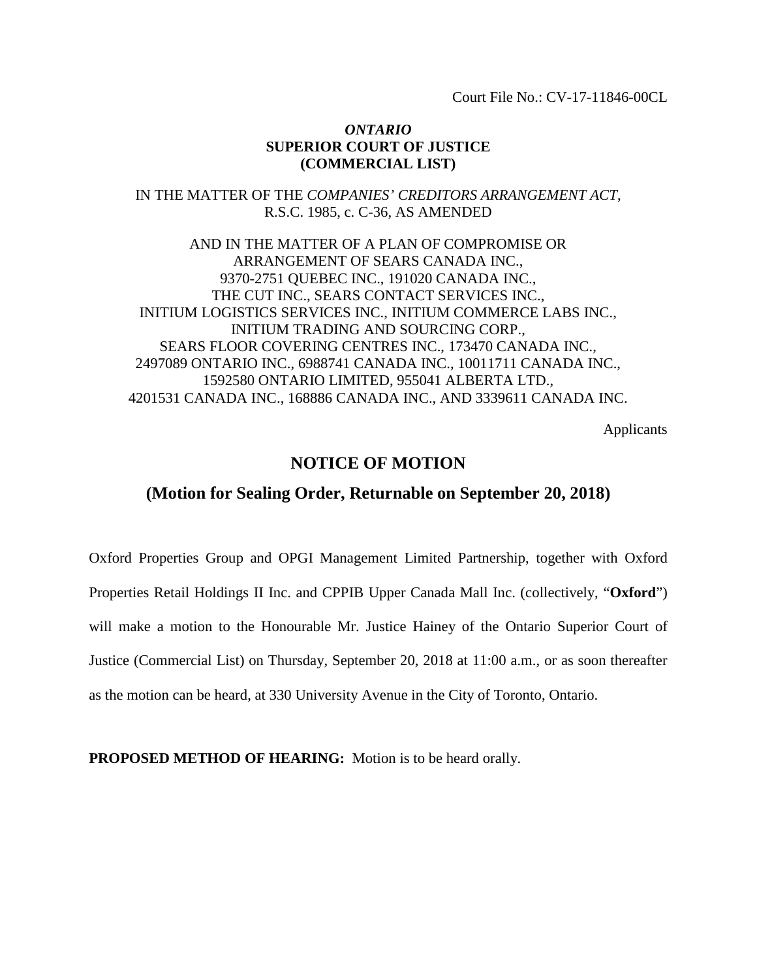Court File No.: CV-17-11846-00CL

### *ONTARIO* **SUPERIOR COURT OF JUSTICE (COMMERCIAL LIST)**

IN THE MATTER OF THE *COMPANIES' CREDITORS ARRANGEMENT ACT*, R.S.C. 1985, c. C-36, AS AMENDED

AND IN THE MATTER OF A PLAN OF COMPROMISE OR ARRANGEMENT OF SEARS CANADA INC., 9370-2751 QUEBEC INC., 191020 CANADA INC., THE CUT INC., SEARS CONTACT SERVICES INC., INITIUM LOGISTICS SERVICES INC., INITIUM COMMERCE LABS INC., INITIUM TRADING AND SOURCING CORP., SEARS FLOOR COVERING CENTRES INC., 173470 CANADA INC., 2497089 ONTARIO INC., 6988741 CANADA INC., 10011711 CANADA INC., 1592580 ONTARIO LIMITED, 955041 ALBERTA LTD., 4201531 CANADA INC., 168886 CANADA INC., AND 3339611 CANADA INC.

Applicants

## **NOTICE OF MOTION**

#### **(Motion for Sealing Order, Returnable on September 20, 2018)**

Oxford Properties Group and OPGI Management Limited Partnership, together with Oxford Properties Retail Holdings II Inc. and CPPIB Upper Canada Mall Inc. (collectively, "**Oxford**") will make a motion to the Honourable Mr. Justice Hainey of the Ontario Superior Court of Justice (Commercial List) on Thursday, September 20, 2018 at 11:00 a.m., or as soon thereafter as the motion can be heard, at 330 University Avenue in the City of Toronto, Ontario.

**PROPOSED METHOD OF HEARING:** Motion is to be heard orally.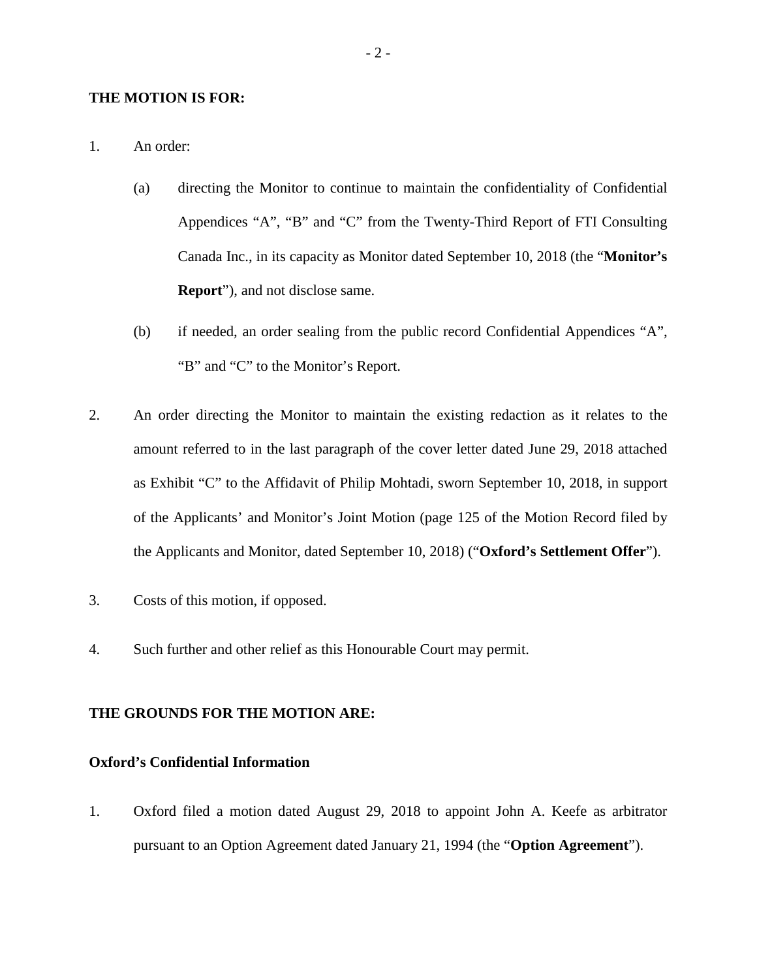#### **THE MOTION IS FOR:**

- 1. An order:
	- (a) directing the Monitor to continue to maintain the confidentiality of Confidential Appendices "A", "B" and "C" from the Twenty-Third Report of FTI Consulting Canada Inc., in its capacity as Monitor dated September 10, 2018 (the "**Monitor's Report**"), and not disclose same.
	- (b) if needed, an order sealing from the public record Confidential Appendices "A", "B" and "C" to the Monitor's Report.
- 2. An order directing the Monitor to maintain the existing redaction as it relates to the amount referred to in the last paragraph of the cover letter dated June 29, 2018 attached as Exhibit "C" to the Affidavit of Philip Mohtadi, sworn September 10, 2018, in support of the Applicants' and Monitor's Joint Motion (page 125 of the Motion Record filed by the Applicants and Monitor, dated September 10, 2018) ("**Oxford's Settlement Offer**").
- 3. Costs of this motion, if opposed.
- 4. Such further and other relief as this Honourable Court may permit.

### **THE GROUNDS FOR THE MOTION ARE:**

### **Oxford's Confidential Information**

1. Oxford filed a motion dated August 29, 2018 to appoint John A. Keefe as arbitrator pursuant to an Option Agreement dated January 21, 1994 (the "**Option Agreement**").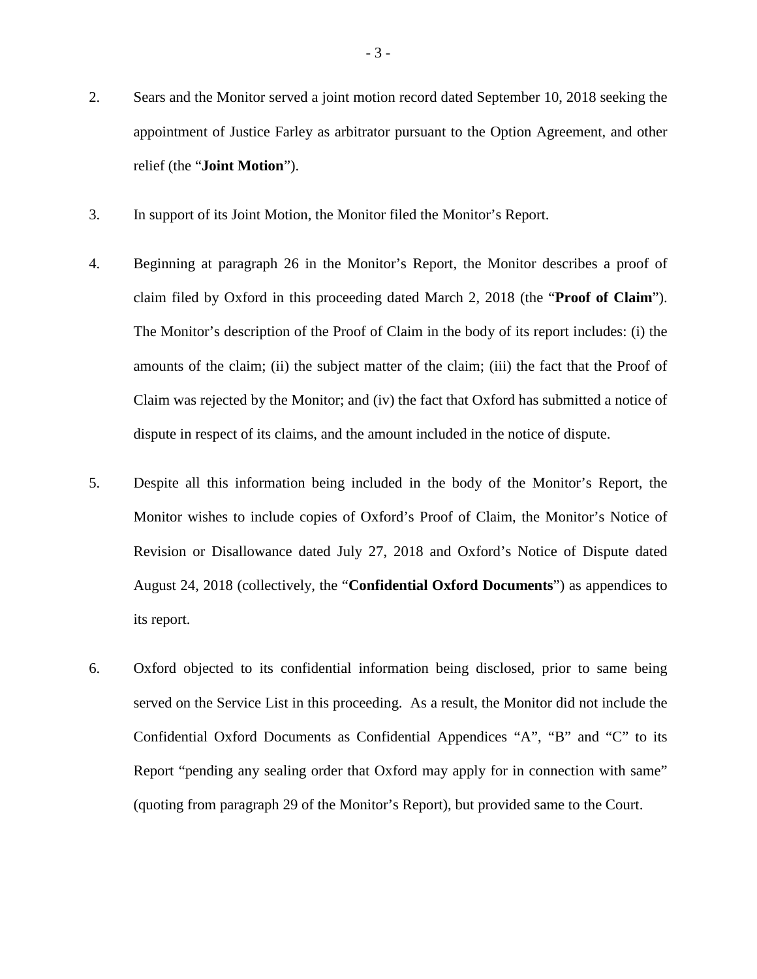- 2. Sears and the Monitor served a joint motion record dated September 10, 2018 seeking the appointment of Justice Farley as arbitrator pursuant to the Option Agreement, and other relief (the "**Joint Motion**").
- 3. In support of its Joint Motion, the Monitor filed the Monitor's Report.
- 4. Beginning at paragraph 26 in the Monitor's Report, the Monitor describes a proof of claim filed by Oxford in this proceeding dated March 2, 2018 (the "**Proof of Claim**"). The Monitor's description of the Proof of Claim in the body of its report includes: (i) the amounts of the claim; (ii) the subject matter of the claim; (iii) the fact that the Proof of Claim was rejected by the Monitor; and (iv) the fact that Oxford has submitted a notice of dispute in respect of its claims, and the amount included in the notice of dispute.
- 5. Despite all this information being included in the body of the Monitor's Report, the Monitor wishes to include copies of Oxford's Proof of Claim, the Monitor's Notice of Revision or Disallowance dated July 27, 2018 and Oxford's Notice of Dispute dated August 24, 2018 (collectively, the "**Confidential Oxford Documents**") as appendices to its report.
- 6. Oxford objected to its confidential information being disclosed, prior to same being served on the Service List in this proceeding. As a result, the Monitor did not include the Confidential Oxford Documents as Confidential Appendices "A", "B" and "C" to its Report "pending any sealing order that Oxford may apply for in connection with same" (quoting from paragraph 29 of the Monitor's Report), but provided same to the Court.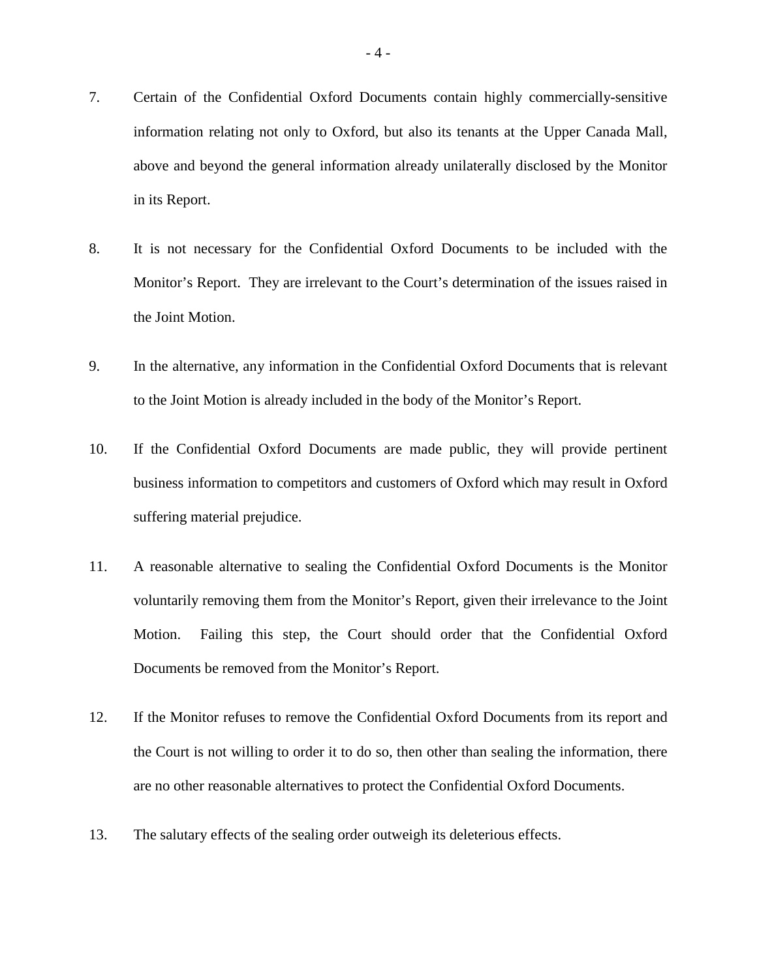- 7. Certain of the Confidential Oxford Documents contain highly commercially-sensitive information relating not only to Oxford, but also its tenants at the Upper Canada Mall, above and beyond the general information already unilaterally disclosed by the Monitor in its Report.
- 8. It is not necessary for the Confidential Oxford Documents to be included with the Monitor's Report. They are irrelevant to the Court's determination of the issues raised in the Joint Motion.
- 9. In the alternative, any information in the Confidential Oxford Documents that is relevant to the Joint Motion is already included in the body of the Monitor's Report.
- 10. If the Confidential Oxford Documents are made public, they will provide pertinent business information to competitors and customers of Oxford which may result in Oxford suffering material prejudice.
- 11. A reasonable alternative to sealing the Confidential Oxford Documents is the Monitor voluntarily removing them from the Monitor's Report, given their irrelevance to the Joint Motion. Failing this step, the Court should order that the Confidential Oxford Documents be removed from the Monitor's Report.
- 12. If the Monitor refuses to remove the Confidential Oxford Documents from its report and the Court is not willing to order it to do so, then other than sealing the information, there are no other reasonable alternatives to protect the Confidential Oxford Documents.
- 13. The salutary effects of the sealing order outweigh its deleterious effects.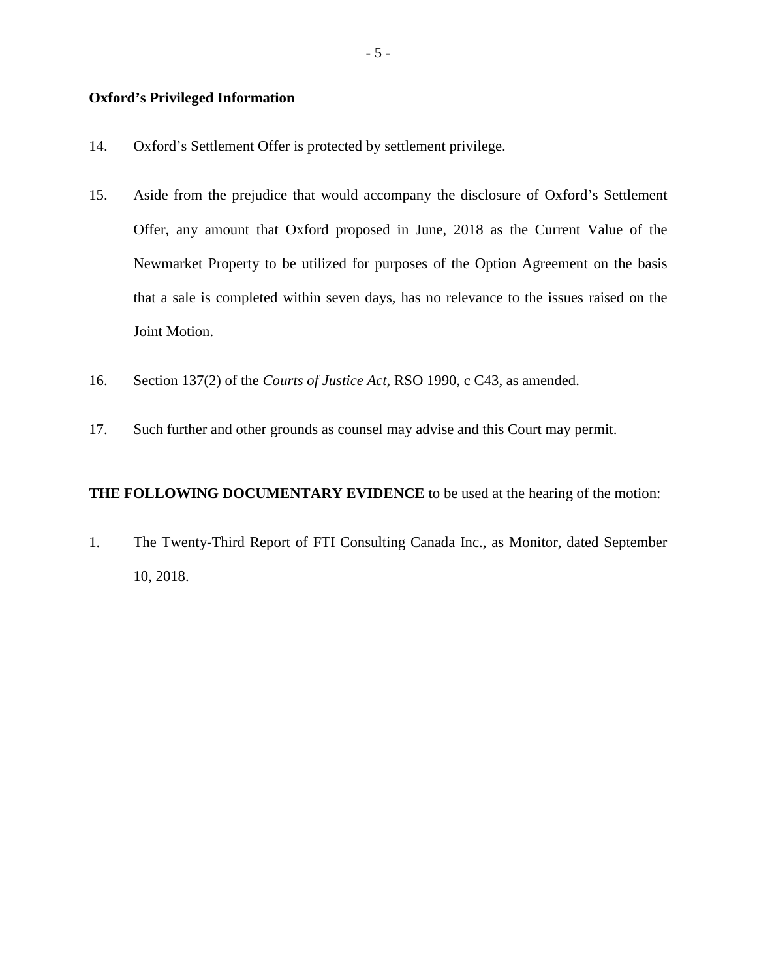#### **Oxford's Privileged Information**

- 14. Oxford's Settlement Offer is protected by settlement privilege.
- 15. Aside from the prejudice that would accompany the disclosure of Oxford's Settlement Offer, any amount that Oxford proposed in June, 2018 as the Current Value of the Newmarket Property to be utilized for purposes of the Option Agreement on the basis that a sale is completed within seven days, has no relevance to the issues raised on the Joint Motion.
- 16. Section 137(2) of the *Courts of Justice Act*, RSO 1990, c C43, as amended.
- 17. Such further and other grounds as counsel may advise and this Court may permit.

#### **THE FOLLOWING DOCUMENTARY EVIDENCE** to be used at the hearing of the motion:

1. The Twenty-Third Report of FTI Consulting Canada Inc., as Monitor, dated September 10, 2018.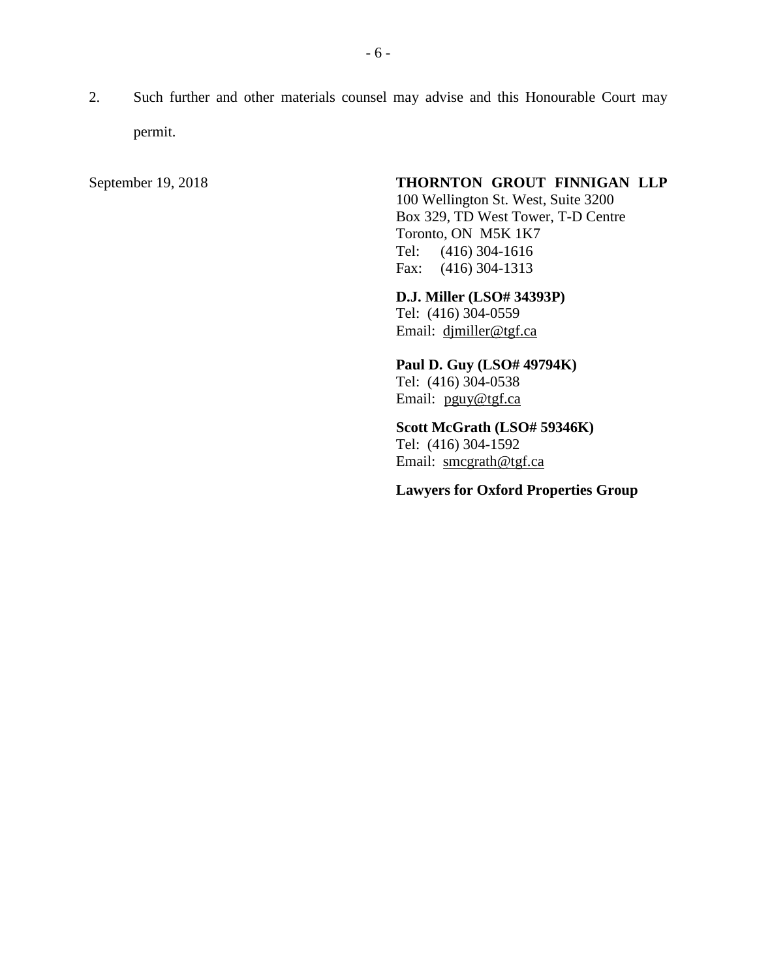2. Such further and other materials counsel may advise and this Honourable Court may permit.

## September 19, 2018 **THORNTON GROUT FINNIGAN LLP**

100 Wellington St. West, Suite 3200 Box 329, TD West Tower, T-D Centre Toronto, ON M5K 1K7 Tel: (416) 304-1616 Fax: (416) 304-1313

**D.J. Miller (LSO# 34393P)**

Tel: (416) 304-0559 Email: [djmiller@tgf.ca](mailto:djmiller@tgf.ca)

**Paul D. Guy (LSO# 49794K)** Tel: (416) 304-0538 Email: [pguy@tgf.ca](mailto:pguy@tgf.ca)

**Scott McGrath (LSO# 59346K)** Tel: (416) 304-1592 Email: [smcgrath@tgf.ca](mailto:smcgrath@tgf.ca)

**Lawyers for Oxford Properties Group**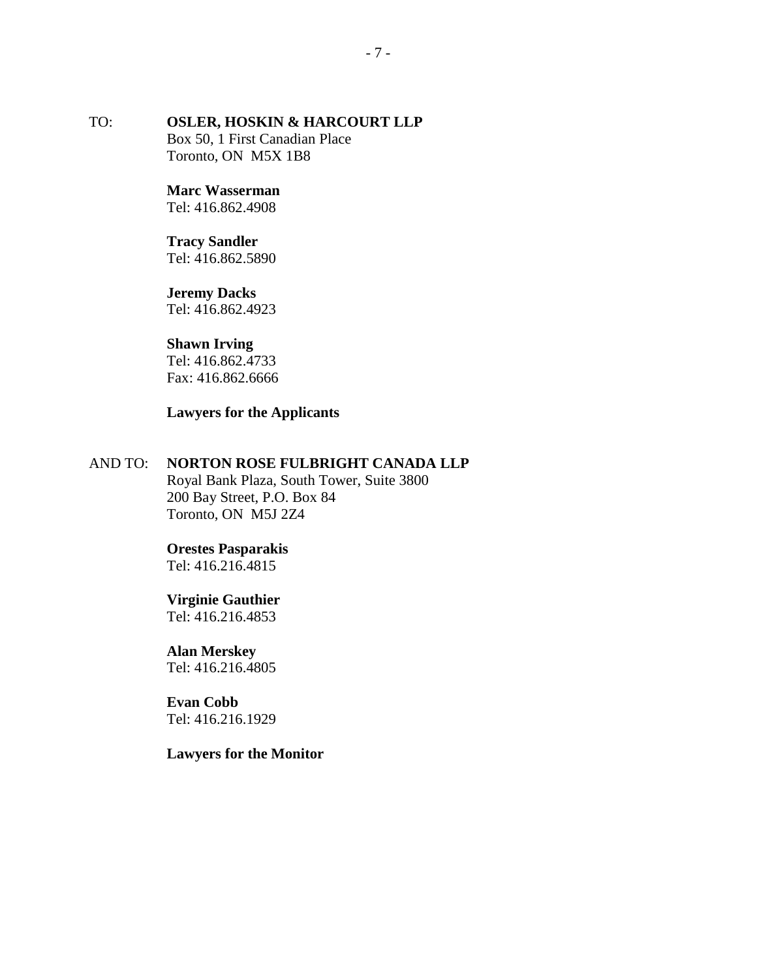## TO: **OSLER, HOSKIN & HARCOURT LLP** Box 50, 1 First Canadian Place Toronto, ON M5X 1B8

#### **Marc Wasserman** Tel: 416.862.4908

## **Tracy Sandler** Tel: 416.862.5890

## **Jeremy Dacks**

Tel: 416.862.4923

## **Shawn Irving**

Tel: 416.862.4733 Fax: 416.862.6666

## **Lawyers for the Applicants**

## AND TO: **NORTON ROSE FULBRIGHT CANADA LLP**

Royal Bank Plaza, South Tower, Suite 3800 200 Bay Street, P.O. Box 84 Toronto, ON M5J 2Z4

## **Orestes Pasparakis**

Tel: 416.216.4815

## **Virginie Gauthier**

Tel: 416.216.4853

# **Alan Merskey**

Tel: 416.216.4805

## **Evan Cobb** Tel: 416.216.1929

## **Lawyers for the Monitor**